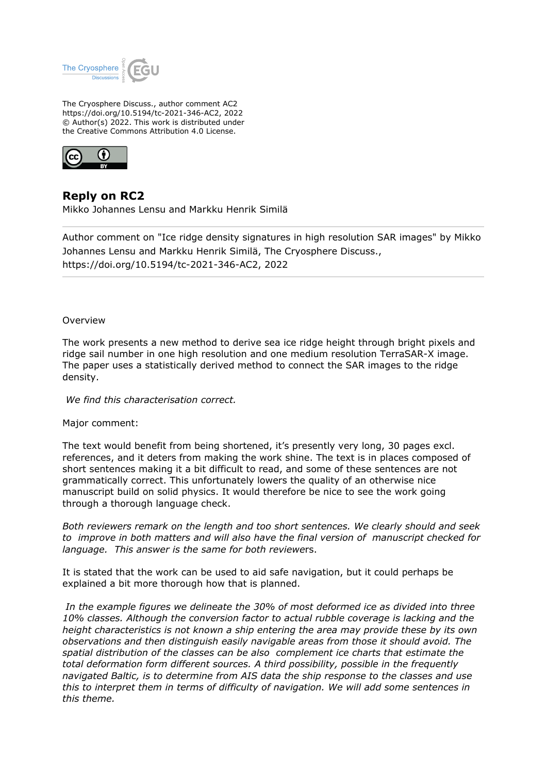

The Cryosphere Discuss., author comment AC2 https://doi.org/10.5194/tc-2021-346-AC2, 2022 © Author(s) 2022. This work is distributed under the Creative Commons Attribution 4.0 License.



## **Reply on RC2**

Mikko Johannes Lensu and Markku Henrik Similä

Author comment on "Ice ridge density signatures in high resolution SAR images" by Mikko Johannes Lensu and Markku Henrik Similä, The Cryosphere Discuss., https://doi.org/10.5194/tc-2021-346-AC2, 2022

## Overview

The work presents a new method to derive sea ice ridge height through bright pixels and ridge sail number in one high resolution and one medium resolution TerraSAR-X image. The paper uses a statistically derived method to connect the SAR images to the ridge density.

 *We find this characterisation correct.*

## Major comment:

The text would benefit from being shortened, it's presently very long, 30 pages excl. references, and it deters from making the work shine. The text is in places composed of short sentences making it a bit difficult to read, and some of these sentences are not grammatically correct. This unfortunately lowers the quality of an otherwise nice manuscript build on solid physics. It would therefore be nice to see the work going through a thorough language check.

*Both reviewers remark on the length and too short sentences. We clearly should and seek to improve in both matters and will also have the final version of manuscript checked for language. This answer is the same for both reviewe*rs.

It is stated that the work can be used to aid safe navigation, but it could perhaps be explained a bit more thorough how that is planned.

 *In the example figures we delineate the 30% of most deformed ice as divided into three 10% classes. Although the conversion factor to actual rubble coverage is lacking and the height characteristics is not known a ship entering the area may provide these by its own observations and then distinguish easily navigable areas from those it should avoid. The spatial distribution of the classes can be also complement ice charts that estimate the total deformation form different sources. A third possibility, possible in the frequently navigated Baltic, is to determine from AIS data the ship response to the classes and use this to interpret them in terms of difficulty of navigation. We will add some sentences in this theme.*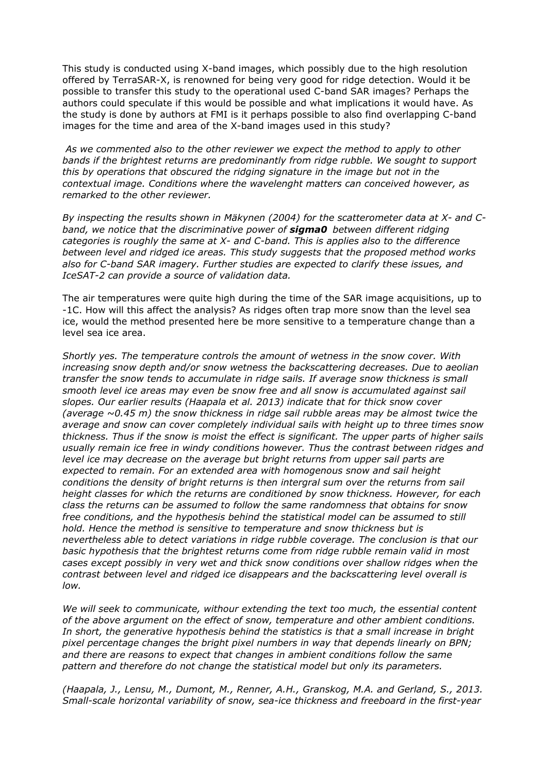This study is conducted using X-band images, which possibly due to the high resolution offered by TerraSAR-X, is renowned for being very good for ridge detection. Would it be possible to transfer this study to the operational used C-band SAR images? Perhaps the authors could speculate if this would be possible and what implications it would have. As the study is done by authors at FMI is it perhaps possible to also find overlapping C-band images for the time and area of the X-band images used in this study?

 *As we commented also to the other reviewer we expect the method to apply to other bands if the brightest returns are predominantly from ridge rubble. We sought to support this by operations that obscured the ridging signature in the image but not in the contextual image. Conditions where the wavelenght matters can conceived however, as remarked to the other reviewer.*

*By inspecting the results shown in Mäkynen (2004) for the scatterometer data at X- and Cband, we notice that the discriminative power of sigma0 between different ridging categories is roughly the same at X- and C-band. This is applies also to the difference between level and ridged ice areas. This study suggests that the proposed method works also for C-band SAR imagery. Further studies are expected to clarify these issues, and IceSAT-2 can provide a source of validation data.*

The air temperatures were quite high during the time of the SAR image acquisitions, up to -1C. How will this affect the analysis? As ridges often trap more snow than the level sea ice, would the method presented here be more sensitive to a temperature change than a level sea ice area.

*Shortly yes. The temperature controls the amount of wetness in the snow cover. With increasing snow depth and/or snow wetness the backscattering decreases. Due to aeolian transfer the snow tends to accumulate in ridge sails. If average snow thickness is small smooth level ice areas may even be snow free and all snow is accumulated against sail slopes. Our earlier results (Haapala et al. 2013) indicate that for thick snow cover (average ~0.45 m) the snow thickness in ridge sail rubble areas may be almost twice the average and snow can cover completely individual sails with height up to three times snow thickness. Thus if the snow is moist the effect is significant. The upper parts of higher sails usually remain ice free in windy conditions however. Thus the contrast between ridges and level ice may decrease on the average but bright returns from upper sail parts are expected to remain. For an extended area with homogenous snow and sail height conditions the density of bright returns is then intergral sum over the returns from sail height classes for which the returns are conditioned by snow thickness. However, for each class the returns can be assumed to follow the same randomness that obtains for snow free conditions, and the hypothesis behind the statistical model can be assumed to still hold. Hence the method is sensitive to temperature and snow thickness but is nevertheless able to detect variations in ridge rubble coverage. The conclusion is that our basic hypothesis that the brightest returns come from ridge rubble remain valid in most cases except possibly in very wet and thick snow conditions over shallow ridges when the contrast between level and ridged ice disappears and the backscattering level overall is low.*

*We will seek to communicate, withour extending the text too much, the essential content of the above argument on the effect of snow, temperature and other ambient conditions. In short, the generative hypothesis behind the statistics is that a small increase in bright pixel percentage changes the bright pixel numbers in way that depends linearly on BPN; and there are reasons to expect that changes in ambient conditions follow the same pattern and therefore do not change the statistical model but only its parameters.*

*(Haapala, J., Lensu, M., Dumont, M., Renner, A.H., Granskog, M.A. and Gerland, S., 2013. Small-scale horizontal variability of snow, sea-ice thickness and freeboard in the first-year*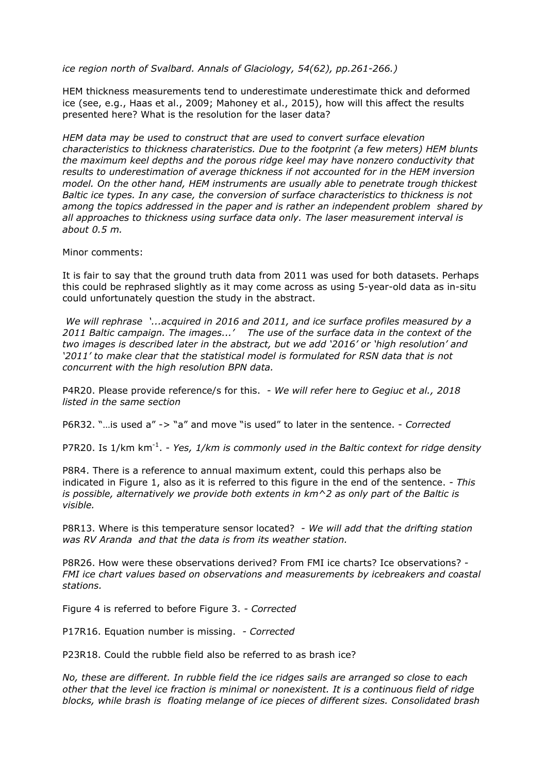*ice region north of Svalbard. Annals of Glaciology, 54(62), pp.261-266.)*

HEM thickness measurements tend to underestimate underestimate thick and deformed ice (see, e.g., Haas et al., 2009; Mahoney et al., 2015), how will this affect the results presented here? What is the resolution for the laser data?

*HEM data may be used to construct that are used to convert surface elevation characteristics to thickness charateristics. Due to the footprint (a few meters) HEM blunts the maximum keel depths and the porous ridge keel may have nonzero conductivity that results to underestimation of average thickness if not accounted for in the HEM inversion model. On the other hand, HEM instruments are usually able to penetrate trough thickest Baltic ice types. In any case, the conversion of surface characteristics to thickness is not among the topics addressed in the paper and is rather an independent problem shared by all approaches to thickness using surface data only. The laser measurement interval is about 0.5 m.*

Minor comments:

It is fair to say that the ground truth data from 2011 was used for both datasets. Perhaps this could be rephrased slightly as it may come across as using 5-year-old data as in-situ could unfortunately question the study in the abstract.

 *We will rephrase '...acquired in 2016 and 2011, and ice surface profiles measured by a 2011 Baltic campaign. The images...' The use of the surface data in the context of the two images is described later in the abstract, but we add '2016' or 'high resolution' and '2011' to make clear that the statistical model is formulated for RSN data that is not concurrent with the high resolution BPN data.*

P4R20. Please provide reference/s for this. - *We will refer here to Gegiuc et al., 2018 listed in the same section*

P6R32. "…is used a" -> "a" and move "is used" to later in the sentence. - *Corrected*

P7R20. Is 1/km km<sup>-1</sup>. - Yes, 1/km is commonly used in the Baltic context for ridge density

P8R4. There is a reference to annual maximum extent, could this perhaps also be indicated in Figure 1, also as it is referred to this figure in the end of the sentence. *- This is possible, alternatively we provide both extents in km^2 as only part of the Baltic is visible.*

P8R13. Where is this temperature sensor located? *- We will add that the drifting station was RV Aranda and that the data is from its weather station.*

P8R26. How were these observations derived? From FMI ice charts? Ice observations? *- FMI ice chart values based on observations and measurements by icebreakers and coastal stations.*

Figure 4 is referred to before Figure 3. *- Corrected*

P17R16. Equation number is missing. *- Corrected*

P23R18. Could the rubble field also be referred to as brash ice?

*No, these are different. In rubble field the ice ridges sails are arranged so close to each other that the level ice fraction is minimal or nonexistent. It is a continuous field of ridge blocks, while brash is floating melange of ice pieces of different sizes. Consolidated brash*